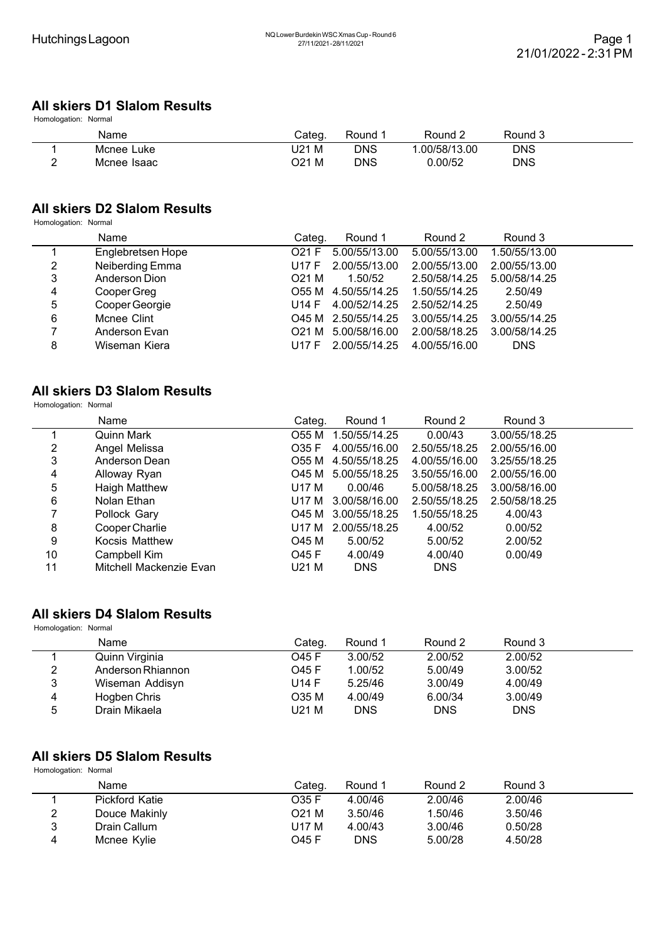## **All skiers D1 Slalom Results**

Homologation: Normal

| Name        | Cateq. | Round | Round 2      | Round 3    |  |
|-------------|--------|-------|--------------|------------|--|
| Mcnee Luke  | J21 M  | DNS   | .00/58/13.00 | <b>DNS</b> |  |
| Mcnee Isaac | O21 M  | DNS   | 0.00/52      | <b>DNS</b> |  |

#### **All skiers D2 Slalom Results**

Homologation: Normal

|   | Name              | Categ. | Round 1             | Round 2       | Round 3       |  |
|---|-------------------|--------|---------------------|---------------|---------------|--|
|   | Englebretsen Hope | O21 F  | 5.00/55/13.00       | 5.00/55/13.00 | 1.50/55/13.00 |  |
| 2 | Neiberding Emma   | U17 F  | 2.00/55/13.00       | 2.00/55/13.00 | 2.00/55/13.00 |  |
| 3 | Anderson Dion     | O21 M  | 1.50/52             | 2.50/58/14.25 | 5.00/58/14.25 |  |
| 4 | Cooper Greg       |        | O55 M 4.50/55/14.25 | 1.50/55/14.25 | 2.50/49       |  |
| 5 | Cooper Georgie    | U14 F  | 4.00/52/14.25       | 2.50/52/14.25 | 2.50/49       |  |
| 6 | Mcnee Clint       |        | O45 M 2.50/55/14.25 | 3.00/55/14.25 | 3.00/55/14.25 |  |
| 7 | Anderson Evan     |        | O21 M 5.00/58/16.00 | 2.00/58/18.25 | 3.00/58/14.25 |  |
| 8 | Wiseman Kiera     | U17 F  | 2.00/55/14.25       | 4.00/55/16.00 | <b>DNS</b>    |  |

#### **All skiers D3 Slalom Results**

Homologation: Normal

|                | Name                    | Categ. | Round 1       | Round 2       | Round 3       |
|----------------|-------------------------|--------|---------------|---------------|---------------|
|                | Quinn Mark              | O55 M  | 1.50/55/14.25 | 0.00/43       | 3.00/55/18.25 |
| 2              | Angel Melissa           | O35 F  | 4.00/55/16.00 | 2.50/55/18.25 | 2.00/55/16.00 |
| 3              | Anderson Dean           | O55 M  | 4.50/55/18.25 | 4.00/55/16.00 | 3.25/55/18.25 |
| $\overline{4}$ | Alloway Ryan            | O45 M  | 5.00/55/18.25 | 3.50/55/16.00 | 2.00/55/16.00 |
| 5              | Haigh Matthew           | U17 M  | 0.00/46       | 5.00/58/18.25 | 3.00/58/16.00 |
| 6              | Nolan Ethan             | U17 M  | 3.00/58/16.00 | 2.50/55/18.25 | 2.50/58/18.25 |
| 7              | Pollock Gary            | O45 M  | 3.00/55/18.25 | 1.50/55/18.25 | 4.00/43       |
| 8              | Cooper Charlie          | U17 M  | 2.00/55/18.25 | 4.00/52       | 0.00/52       |
| 9              | <b>Kocsis Matthew</b>   | O45 M  | 5.00/52       | 5.00/52       | 2.00/52       |
| 10             | Campbell Kim            | O45 F  | 4.00/49       | 4.00/40       | 0.00/49       |
| 11             | Mitchell Mackenzie Evan | U21 M  | <b>DNS</b>    | <b>DNS</b>    |               |

## **All skiers D4 Slalom Results**

Homologation: Normal

|   | Name              | Categ. | Round 1    | Round 2    | Round 3    |  |
|---|-------------------|--------|------------|------------|------------|--|
|   | Quinn Virginia    | O45 F  | 3.00/52    | 2.00/52    | 2.00/52    |  |
| 2 | Anderson Rhiannon | O45 F  | 1.00/52    | 5.00/49    | 3.00/52    |  |
| 3 | Wiseman Addisyn   | U14 F  | 5.25/46    | 3.00/49    | 4.00/49    |  |
| 4 | Hogben Chris      | O35 M  | 4.00/49    | 6.00/34    | 3.00/49    |  |
| 5 | Drain Mikaela     | U21 M  | <b>DNS</b> | <b>DNS</b> | <b>DNS</b> |  |

# **All skiers D5 Slalom Results**

Homologation: Normal

|   | Name                  | Categ.       | Round 1 | Round 2 | Round 3 |  |
|---|-----------------------|--------------|---------|---------|---------|--|
|   | <b>Pickford Katie</b> | O35 F        | 4.00/46 | 2.00/46 | 2.00/46 |  |
| 2 | Douce Makinly         | O21 M        | 3.50/46 | 1.50/46 | 3.50/46 |  |
| 3 | Drain Callum          | U17 M        | 4.00/43 | 3.00/46 | 0.50/28 |  |
| 4 | Mcnee Kylie           | <b>O45 F</b> | DNS     | 5.00/28 | 4.50/28 |  |